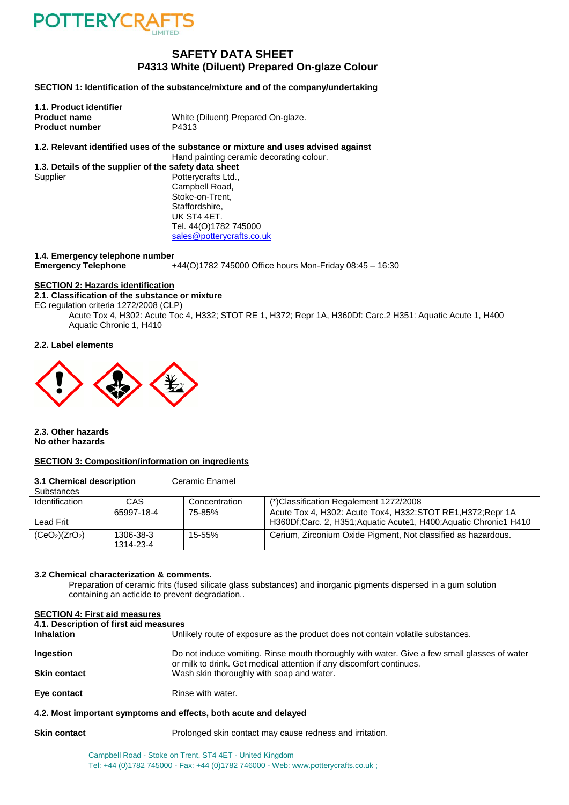

### **SAFETY DATA SHEET P4313 White (Diluent) Prepared On-glaze Colour**

**SECTION 1: Identification of the substance/mixture and of the company/undertaking**

| 1.1. Product identifier |                                    |
|-------------------------|------------------------------------|
| <b>Product name</b>     | White (Diluent) Prepared On-glaze. |
| <b>Product number</b>   | P4313                              |
|                         |                                    |

**1.2. Relevant identified uses of the substance or mixture and uses advised against** Hand painting ceramic decorating colour.

**1.3. Details of the supplier of the safety data sheet** Supplier Potterycrafts Ltd., Campbell Road, Stoke-on-Trent, Staffordshire, UK ST4 4ET. Tel. 44(O)1782 745000 [sales@potterycrafts.co.uk](mailto:sales@potterycrafts.co.uk)

**1.4. Emergency telephone number**

**Emergency Telephone** +44(O)1782 745000 Office hours Mon-Friday 08:45 – 16:30

### **SECTION 2: Hazards identification**

#### **2.1. Classification of the substance or mixture**

EC regulation criteria 1272/2008 (CLP)

Acute Tox 4, H302: Acute Toc 4, H332; STOT RE 1, H372; Repr 1A, H360Df: Carc.2 H351: Aquatic Acute 1, H400 Aquatic Chronic 1, H410

#### **2.2. Label elements**



**2.3. Other hazards No other hazards**

#### **SECTION 3: Composition/information on ingredients**

**3.1 Chemical description** Ceramic Enamel

| Substances                             |                        |               |                                                                                                                                |
|----------------------------------------|------------------------|---------------|--------------------------------------------------------------------------------------------------------------------------------|
| Identification                         | CAS                    | Concentration | (*)Classification Regalement 1272/2008                                                                                         |
| Lead Frit                              | 65997-18-4             | 75-85%        | Acute Tox 4, H302: Acute Tox4, H332:STOT RE1, H372; Repr 1A<br>H360Df;Carc. 2, H351;Aquatic Acute1, H400;Aquatic Chronic1 H410 |
| (CeO <sub>2</sub> )(ZrO <sub>2</sub> ) | 1306-38-3<br>1314-23-4 | 15-55%        | Cerium, Zirconium Oxide Pigment, Not classified as hazardous.                                                                  |

#### **3.2 Chemical characterization & comments.**

Preparation of ceramic frits (fused silicate glass substances) and inorganic pigments dispersed in a gum solution containing an acticide to prevent degradation..

#### **SECTION 4: First aid measures**

**4.1. Description of first aid measures**

Unlikely route of exposure as the product does not contain volatile substances.

| Ingestion           | Do not induce vomiting. Rinse mouth thoroughly with water. Give a few small glasses of water |
|---------------------|----------------------------------------------------------------------------------------------|
|                     | or milk to drink. Get medical attention if any discomfort continues.                         |
| <b>Skin contact</b> | Wash skin thoroughly with soap and water.                                                    |
|                     |                                                                                              |

**Eye contact** Rinse with water.

#### **4.2. Most important symptoms and effects, both acute and delayed**

**Skin contact Prolonged skin contact may cause redness and irritation.** 

Campbell Road - Stoke on Trent, ST4 4ET - United Kingdom Tel: +44 (0)1782 745000 - Fax: +44 (0)1782 746000 - Web: www.potterycrafts.co.uk ;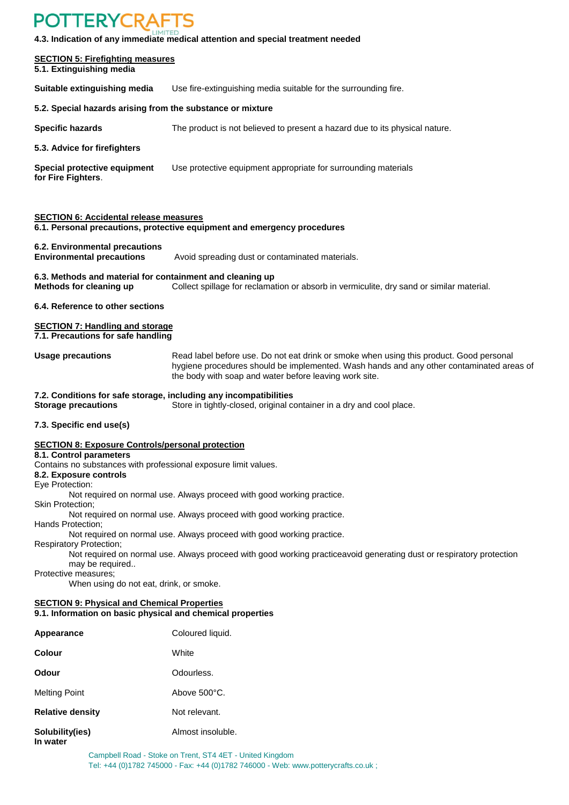## **POTTERYCRAFTS**

**4.3. Indication of any immediate medical attention and special treatment needed**

| <b>SECTION 5: Firefighting measures</b><br>5.1. Extinguishing media                                          |                                                                                                                                                                                                                                               |
|--------------------------------------------------------------------------------------------------------------|-----------------------------------------------------------------------------------------------------------------------------------------------------------------------------------------------------------------------------------------------|
| Suitable extinguishing media                                                                                 | Use fire-extinguishing media suitable for the surrounding fire.                                                                                                                                                                               |
| 5.2. Special hazards arising from the substance or mixture                                                   |                                                                                                                                                                                                                                               |
| <b>Specific hazards</b>                                                                                      | The product is not believed to present a hazard due to its physical nature.                                                                                                                                                                   |
| 5.3. Advice for firefighters                                                                                 |                                                                                                                                                                                                                                               |
| Special protective equipment<br>for Fire Fighters.                                                           | Use protective equipment appropriate for surrounding materials                                                                                                                                                                                |
| <b>SECTION 6: Accidental release measures</b>                                                                | 6.1. Personal precautions, protective equipment and emergency procedures                                                                                                                                                                      |
| 6.2. Environmental precautions<br><b>Environmental precautions</b>                                           | Avoid spreading dust or contaminated materials.                                                                                                                                                                                               |
| 6.3. Methods and material for containment and cleaning up<br>Methods for cleaning up                         | Collect spillage for reclamation or absorb in vermiculite, dry sand or similar material.                                                                                                                                                      |
| 6.4. Reference to other sections                                                                             |                                                                                                                                                                                                                                               |
| <b>SECTION 7: Handling and storage</b><br>7.1. Precautions for safe handling                                 |                                                                                                                                                                                                                                               |
| <b>Usage precautions</b>                                                                                     | Read label before use. Do not eat drink or smoke when using this product. Good personal<br>hygiene procedures should be implemented. Wash hands and any other contaminated areas of<br>the body with soap and water before leaving work site. |
| 7.2. Conditions for safe storage, including any incompatibilities<br><b>Storage precautions</b>              | Store in tightly-closed, original container in a dry and cool place.                                                                                                                                                                          |
| 7.3. Specific end use(s)                                                                                     |                                                                                                                                                                                                                                               |
| <b>SECTION 8: Exposure Controls/personal protection</b><br>8.1. Control parameters                           |                                                                                                                                                                                                                                               |
| Contains no substances with professional exposure limit values.<br>8.2. Exposure controls<br>Eye Protection: |                                                                                                                                                                                                                                               |
| Skin Protection;                                                                                             | Not required on normal use. Always proceed with good working practice.                                                                                                                                                                        |
| Hands Protection;                                                                                            | Not required on normal use. Always proceed with good working practice.                                                                                                                                                                        |
| <b>Respiratory Protection;</b>                                                                               | Not required on normal use. Always proceed with good working practice.                                                                                                                                                                        |
| may be required<br>Protective measures;<br>When using do not eat, drink, or smoke.                           | Not required on normal use. Always proceed with good working practiceavoid generating dust or respiratory protection                                                                                                                          |
| <b>SECTION 9: Physical and Chemical Properties</b>                                                           |                                                                                                                                                                                                                                               |
| 9.1. Information on basic physical and chemical properties                                                   |                                                                                                                                                                                                                                               |
| Appearance                                                                                                   | Coloured liquid.                                                                                                                                                                                                                              |
| Colour                                                                                                       | White                                                                                                                                                                                                                                         |
| Odour                                                                                                        | Odourless.                                                                                                                                                                                                                                    |
| <b>Melting Point</b>                                                                                         | Above 500°C.                                                                                                                                                                                                                                  |
| <b>Relative density</b><br>Not relevant.                                                                     |                                                                                                                                                                                                                                               |

**Solubility(ies)** Almost insoluble. **In water**

> Campbell Road - Stoke on Trent, ST4 4ET - United Kingdom Tel: +44 (0)1782 745000 - Fax: +44 (0)1782 746000 - Web: www.potterycrafts.co.uk ;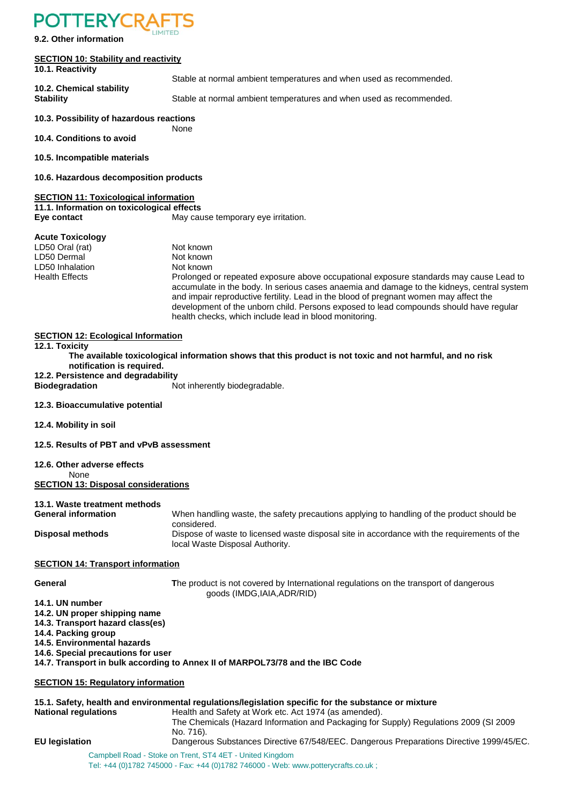### **POTTERYCRA**

**9.2. Other information**

#### **SECTION 10: Stability and reactivity**

#### **10.1. Reactivity**

Stable at normal ambient temperatures and when used as recommended. **10.2. Chemical stability**

**Stability** Stable at normal ambient temperatures and when used as recommended.

#### **10.3. Possibility of hazardous reactions**

None **10.4. Conditions to avoid**

**10.5. Incompatible materials**

**10.6. Hazardous decomposition products**

#### **SECTION 11: Toxicological information**

**11.1. Information on toxicological effects Eve contact** May cause temporary eye irritation.

#### **Acute Toxicology**

LD50 Oral (rat) Not known LD50 Dermal Not known LD50 Inhalation Not known<br>
Health Effects Not Realth Effects Prolonged or repeated exposure above occupational exposure standards may cause Lead to accumulate in the body. In serious cases anaemia and damage to the kidneys, central system and impair reproductive fertility. Lead in the blood of pregnant women may affect the development of the unborn child. Persons exposed to lead compounds should have regular health checks, which include lead in blood monitoring.

#### **SECTION 12: Ecological Information**

**12.1. Toxicity**

- **The available toxicological information shows that this product is not toxic and not harmful, and no risk notification is required.**
- **12.2. Persistence and degradability**

**Biodegradation** Not inherently biodegradable.

#### **12.3. Bioaccumulative potential**

**12.4. Mobility in soil**

**12.5. Results of PBT and vPvB assessment**

#### **12.6. Other adverse effects**

None

**SECTION 13: Disposal considerations**

#### **13.1. Waste treatment methods**

**General information** When handling waste, the safety precautions applying to handling of the product should be considered. **Disposal methods** Dispose of waste to licensed waste disposal site in accordance with the requirements of the local Waste Disposal Authority.

#### **SECTION 14: Transport information**

**General The product is not covered by International regulations on the transport of dangerous** goods (IMDG,IAIA,ADR/RID)

**14.1. UN number**

- **14.2. UN proper shipping name**
- **14.3. Transport hazard class(es)**

**14.4. Packing group**

**14.5. Environmental hazards**

**14.6. Special precautions for user**

**14.7. Transport in bulk according to Annex II of MARPOL73/78 and the IBC Code**

#### **SECTION 15: Regulatory information**

| <b>National regulations</b> | 15.1. Safety, health and environmental regulations/legislation specific for the substance or mixture<br>Health and Safety at Work etc. Act 1974 (as amended). |
|-----------------------------|---------------------------------------------------------------------------------------------------------------------------------------------------------------|
|                             | The Chemicals (Hazard Information and Packaging for Supply) Regulations 2009 (SI 2009<br>No. 716).                                                            |
| <b>EU</b> legislation       | Dangerous Substances Directive 67/548/EEC. Dangerous Preparations Directive 1999/45/EC.                                                                       |
|                             | Campbell Road - Stoke on Trent, ST4 4ET - United Kingdom<br>Tel: +44 (0)1782 745000 - Fax: +44 (0)1782 746000 - Web: www.potterycrafts.co.uk ;                |